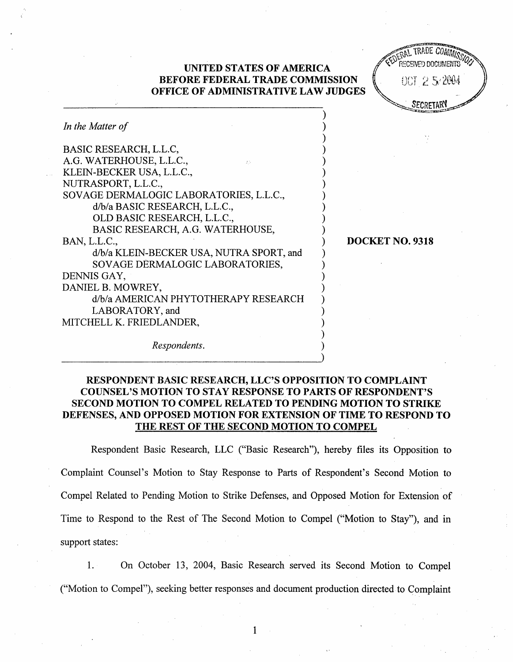## UNITED STATES OF AMERICA BEFORE FEDERAL TRADE COMMISSION OFFICE OF ADMINISTRATIVE LAW JUDGES

TRADE COMMIS  $007252004$ 

SECRETAR<sup>Y</sup>

DOCKET NO. 9318

| In the Matter of                         |
|------------------------------------------|
| BASIC RESEARCH, L.L.C,                   |
| A.G. WATERHOUSE, L.L.C.,<br>35           |
| KLEIN-BECKER USA, L.L.C.,                |
| NUTRASPORT, L.L.C.,                      |
| SOVAGE DERMALOGIC LABORATORIES, L.L.C.,  |
| d/b/a BASIC RESEARCH, L.L.C.,            |
| OLD BASIC RESEARCH, L.L.C.,              |
| BASIC RESEARCH, A.G. WATERHOUSE,         |
| BAN, L.L.C.,                             |
| d/b/a KLEIN-BECKER USA, NUTRA SPORT, and |
| SOVAGE DERMALOGIC LABORATORIES,          |
| DENNIS GAY,                              |
| DANIEL B. MOWREY,                        |
| d/b/a AMERICAN PHYTOTHERAPY RESEARCH     |
| LABORATORY, and                          |
| MITCHELL K. FRIEDLANDER,                 |
| Respondents.                             |

## RESPONDENT BASIC RESEARCH, LLC'S OPPOSITION TO COMPLAINT COUNSEL'S MOTION TO STAY RESPONSE TO PARTS OF RESPONDENT'S SECOND MOTION TO COMPEL RELATED TO PENDING MOTION TO STRIKE DEFENSES, AND OPPOSED MOTION FOR EXTENSION OF TIME TO RESPOND TO THE REST OF THE SECOND MOTION TO COMPEL

Respondent Basic Research, LLC ("Basic Research"), hereby files its Opposition to Complaint Counsel's Motion to Stay Response to Parts of Respondent's Second Motion to Compel Related to Pending Motion to Strike Defenses, and Opposed Motion for Extension of Time to Respond to the Rest of The Second Motion to Compel ("Motion to Stay"), and in support states:

 $1.$ On October 13, 2004, Basic Research served its Second Motion to Compel ("Motion to Compel"), seeking better responses and document production directed to Complaint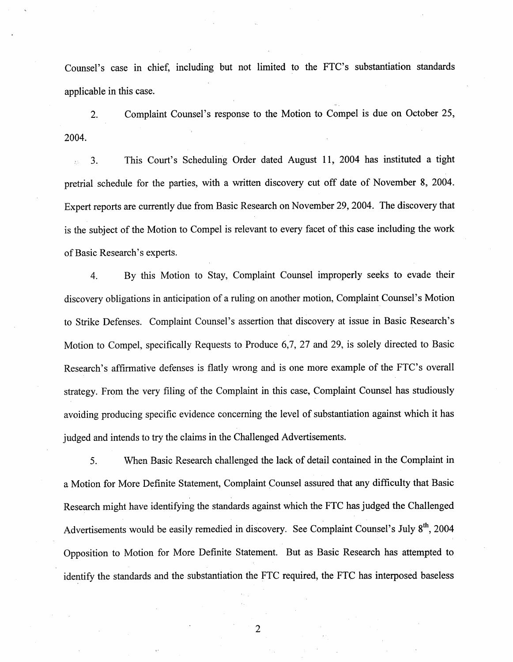Counsel's case in chief, including but not limited to the FTC's substantiation standards applicable in this case.

Complaint Counsel's response to the Motion to Compel is due on October 25,  $\overline{2}$ . 2004.

This Court's Scheduling Order dated August 11, 2004 has instituted a tight 3. pretrial schedule for the parties, with a written discovery cut off date of November 8, 2004. Expert reports are currently due from Basic Research on November 29, 2004. The discovery that is the subject of the Motion to Compel is relevant to every facet of this case including the work of Basic Research's experts.

By this Motion to Stay, Complaint Counsel improperly seeks to evade their  $\overline{4}$ . discovery obligations in anticipation of a ruling on another motion, Complaint Counsel's Motion to Strike Defenses. Complaint Counsel's assertion that discovery at issue in Basic Research' Motion to Compel, specifically Requests to Produce 6,7, 27 and 29, is solely directed to Basic Research's affirmative defenses is flatly wrong and is one more example of the FTC's overall strategy. From the very fiing of the Complaint in this case, Complaint Counsel has studiously avoiding producing specific evidence concerning the level of substantiation against which it has judged and intends to try the claims in the Challenged Advertisements.

5. When Basic Research challenged the lack of detail contained in the Complaint in a Motion for More Definite Statement, Complaint Counsel assured that any difficulty that Basic Research might have identifying the standards against which the FTC has judged the Challenged Advertisements would be easily remedied in discovery. See Complaint Counsel's July 8<sup>th</sup>, 2004 Opposition to Motion for More Definite Statement. But as Basic Research has attempted to identify the standards and the substantiation the FTC required, the FTC has interposed baseless

 $\overline{2}$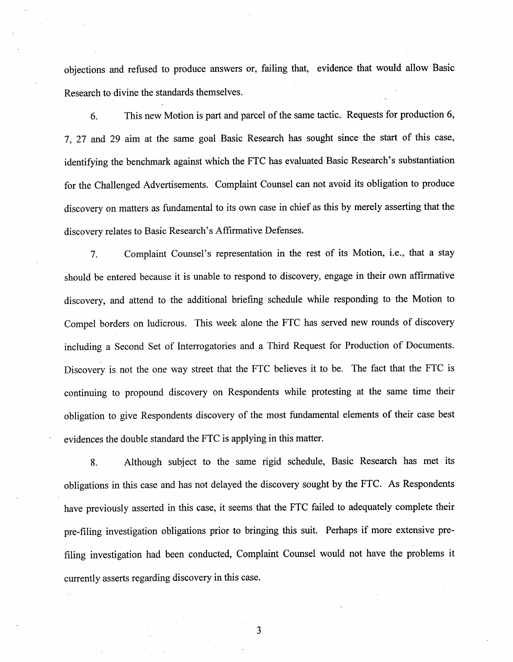objeetions and refused to produce answers or, failing that, evidence that would allow Basic Research to divine the standards themselves.

This new Motion is part and parcel of the same tactic. Requests for production 6 6. , 27 and 29 aim at the same goal Basic Research has sought since the start of this case identifying the benchmark against which the FTC has evaluated Basic Research's substantiation for the Challenged Advertisements. Complaint Counsel can not avoid its obligation to produce discovery on matters as fundamental to its own case in chief as this by merely asserting that the discovery relates to Basic Research's Affirmative Defenses.

Complaint Counsel's representation in the rest of its Motion, i.e., that a stay 7. should be entered because it is unable to respond to discovery, engage in their own affrmative discovery, and attend to the additional briefing schedule while responding to the Motion to Compel borders on ludicrous. This week alone the FTC has served new rounds of discovery including a Seeond Set of Interrogatories and a Third Request for Production of Documents. Discovery is not the one way street that the FTC believes it to be. The fact that the FTC is continuing to propound discovery on Respondents while protesting at the same time their obligation to give Respondents discovery of the most fundamental elements of their case best evidenees the double standard the FTC is applying in this matter.

Although subject to the same rigid schedule, Basic Research has met its 8. obligations in this case and has not delayed the discovery sought by the FTC. As Respondents have previously asserted in this ease, it seems that the FTC failed to adequately complete their pre-filing investigation obligations prior to bringing this suit. Perhaps if more extensive prefiling investigation had been conducted, Complaint Counsel would not have the problems it currently asserts regarding diseovery in this case.

3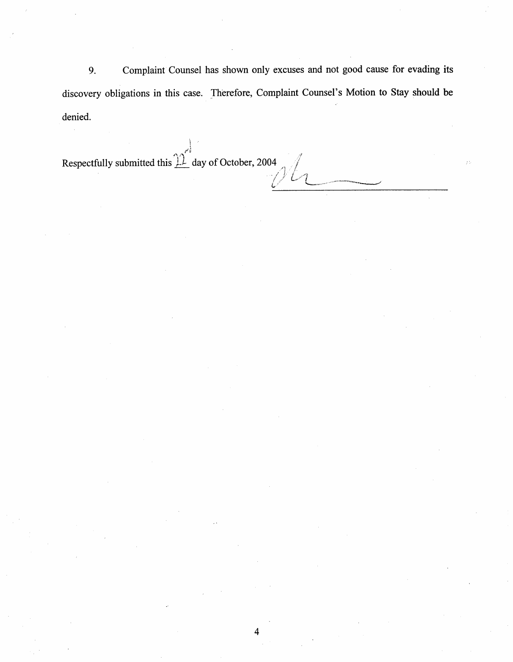9. Complaint Counsel has shown only excuses and not good cause for evading its discovery obligations in this case. Therefore, Complaint Counsel's Motion to Stay should be denied.

4

Respectfully submitted this  $\hat{\mathcal{W}}$  day of October, 2004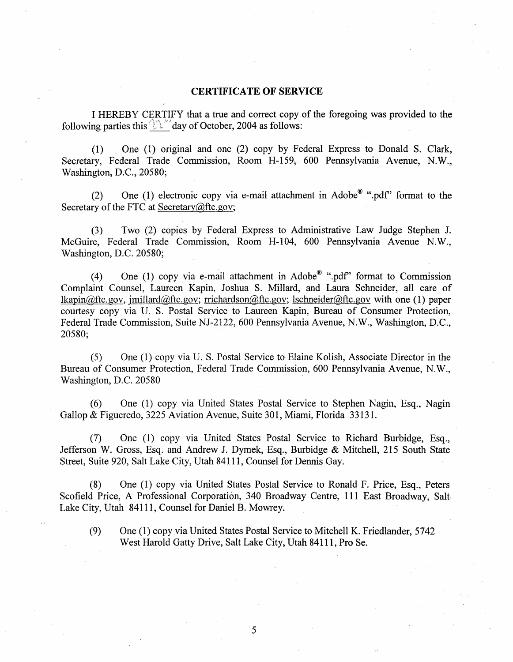## CERTIFICATE OF SERVICE

I HEREBY CERTIFY that a true and correct copy of the foregoing was provided to the following parties this  $\sqrt{2\pi}$  day of October, 2004 as follows:

(I) One (I) original and one (2) copy by Federal Express to Donald S. Clark Secretary, Federal Trade Commission, Room H-159, 600 Pennsylvania Avenue, N. Washington, D.C., 20580;

(2) One (1) electronic copy via e-mail attachment in Adobe<sup>®</sup> ".pdf" format to the Secretary of the FTC at Secretary $@$ ftc.gov;

(3) Two (2) copies by Federal Express to Administrative Law Judge Stephen J. McGuire, Federal Trade Commission, Room H-104, 600 Pennsylvania Avenue N.W., Washington, D.C. 20580;

(4) One (1) copy via e-mail attachment in Adobe<sup>®</sup> " pdf" format to Commission Complaint Counsel, Laureen Kapin, Joshua S. Milard, and Laura Schneider, all care of lkapin $\omega$ ftc.gov, imillard $\omega$ ftc.gov; rrichardson $\omega$ ftc.gov; lschneider $\omega$ ftc.gov with one (1) paper courtesy copy via U. S. Postal Service to Laureen Kapin, Bureau of Consumer Protection Federal Trade Commission, Suite NJ-2122, 600 Pennsylvania Avenue, N.W., Washington, D.C., 20580;

(5) One (I) copy via TJ. S, Postal Service to Elaine Kolish, Assoeiate Director in the Bureau of Consumer Protection, Federal Trade Commission, 600 Pennsylvania Avenue, N.W., Washington, D.C. 20580

(6) One (I) eopy via United States Postal Service to Stephen Nagin, Esq. , Nagin Gallop & Figueredo, 3225 Aviation Avenue, Suite 301, Miami, Florida 33131.

(7) One (I) copy via United States Postal Service to Richard Burbidge, Esq. Jefferson W. Gross, Esq. and Andrew J. Dymek, Esq., Burbidge & Mitchell, 215 South State Street, Suite 920, Salt Lake City, Utah 84111, Counsel for Dennis Gay.

(8) One (I) copy via United States Postal Service to Ronald F. Price, Esq. , Peters Seofield Price, A Professional Corporation, 340 Broadway Centre, III East Broadway, Salt Lake City, Utah 84111, Counsel for Daniel B. Mowrey.

(9) One (1) eopy via United States Postal Service to Mitchell K. Friedlander, 5742 West Harold Gatty Drive, Salt Lake City, Utah 84111, Pro Se.

5